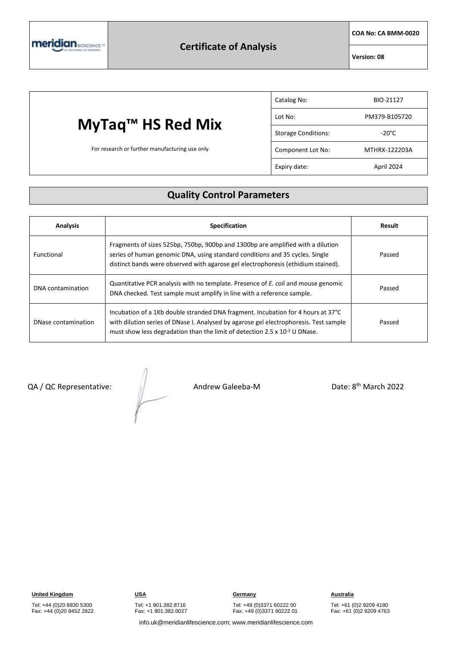

**COA No: CA BMM-0020**

**Version: 08**

## **MyTaq™ HS Red Mix**

For research or further manufacturing use only

| Catalog No:                | BIO-21127       |
|----------------------------|-----------------|
| Lot No:                    | PM379-B105720   |
| <b>Storage Conditions:</b> | $-20^{\circ}$ C |
| Component Lot No:          | MTHRX-122203A   |
| Expiry date:               | April 2024      |

#### **Quality Control Parameters**

| <b>Analysis</b>     | <b>Specification</b>                                                                                                                                                                                                                                         | Result |
|---------------------|--------------------------------------------------------------------------------------------------------------------------------------------------------------------------------------------------------------------------------------------------------------|--------|
| Functional          | Fragments of sizes 525bp, 750bp, 900bp and 1300bp are amplified with a dilution<br>series of human genomic DNA, using standard conditions and 35 cycles. Single<br>distinct bands were observed with agarose gel electrophoresis (ethidium stained).         | Passed |
| DNA contamination   | Quantitative PCR analysis with no template. Presence of <i>E. coli</i> and mouse genomic<br>DNA checked. Test sample must amplify in line with a reference sample.                                                                                           | Passed |
| DNase contamination | Incubation of a 1Kb double stranded DNA fragment. Incubation for 4 hours at 37°C<br>with dilution series of DNase I. Analysed by agarose gel electrophoresis. Test sample<br>must show less degradation than the limit of detection 2.5 x $10^{-3}$ U DNase. | Passed |

QA / QC Representative: Andrew Galeeba-M

Date: 8<sup>th</sup> March 2022

Tel: +44 (0)20 8830 5300 Fax: +44 (0)20 8452 2822 Tel: +49 (0)3371 60222 00

Fax: +49 (0)3371 60222 01

Tel: +61 (0)2 9209 4180 Fax: +61 (0)2 9209 4763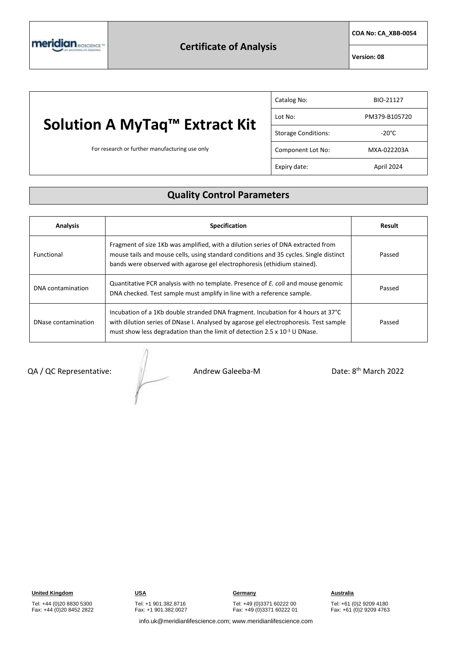**COA No: CA\_XBB-0054**

**Version: 08**

## **Solution A MyTaq™ Extract Kit**

For research or further manufacturing use only

| Catalog No:                | BIO-21127       |
|----------------------------|-----------------|
| Lot No:                    | PM379-B105720   |
| <b>Storage Conditions:</b> | $-20^{\circ}$ C |
| Component Lot No:          | MXA-022203A     |
| Expiry date:               | April 2024      |

### **Quality Control Parameters**

| <b>Analysis</b>     | <b>Specification</b>                                                                                                                                                                                                                                         | Result |
|---------------------|--------------------------------------------------------------------------------------------------------------------------------------------------------------------------------------------------------------------------------------------------------------|--------|
| Functional          | Fragment of size 1Kb was amplified, with a dilution series of DNA extracted from<br>mouse tails and mouse cells, using standard conditions and 35 cycles. Single distinct<br>bands were observed with agarose gel electrophoresis (ethidium stained).        | Passed |
| DNA contamination   | Quantitative PCR analysis with no template. Presence of E. coli and mouse genomic<br>DNA checked. Test sample must amplify in line with a reference sample.                                                                                                  | Passed |
| DNase contamination | Incubation of a 1Kb double stranded DNA fragment. Incubation for 4 hours at 37°C<br>with dilution series of DNase I. Analysed by agarose gel electrophoresis. Test sample<br>must show less degradation than the limit of detection 2.5 x $10^{-3}$ U DNase. | Passed |

QA / QC Representative:  $\frac{1}{2}$  Andrew Galeeba-M

Date: 8<sup>th</sup> March 2022

Tel: +44 (0)20 8830 5300 Fax: +44 (0)20 8452 2822

Tel: +49 (0)3371 60222 00 Fax: +49 (0)3371 60222 01

Tel: +61 (0)2 9209 4180 Fax: +61 (0)2 9209 4763

info.uk@meridianlifescience.com; www.meridianlifescience.com